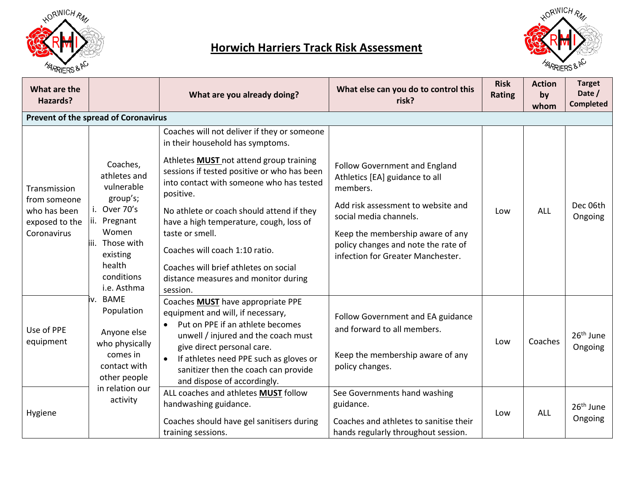

## **Horwich Harriers Track Risk Assessment**



| What are the<br>Hazards?                                                      |                                                                                                                                                                   | What are you already doing?                                                                                                                                                                                                                                                                                                                                                                      | What else can you do to control this<br>risk?                                                                                                                                                                                                                      | <b>Risk</b><br><b>Rating</b> | <b>Action</b><br>by<br>whom | <b>Target</b><br>Date /<br><b>Completed</b> |
|-------------------------------------------------------------------------------|-------------------------------------------------------------------------------------------------------------------------------------------------------------------|--------------------------------------------------------------------------------------------------------------------------------------------------------------------------------------------------------------------------------------------------------------------------------------------------------------------------------------------------------------------------------------------------|--------------------------------------------------------------------------------------------------------------------------------------------------------------------------------------------------------------------------------------------------------------------|------------------------------|-----------------------------|---------------------------------------------|
|                                                                               | Prevent of the spread of Coronavirus                                                                                                                              |                                                                                                                                                                                                                                                                                                                                                                                                  |                                                                                                                                                                                                                                                                    |                              |                             |                                             |
|                                                                               |                                                                                                                                                                   | Coaches will not deliver if they or someone<br>in their household has symptoms.                                                                                                                                                                                                                                                                                                                  |                                                                                                                                                                                                                                                                    |                              |                             |                                             |
| Transmission<br>from someone<br>who has been<br>exposed to the<br>Coronavirus | Coaches,<br>athletes and<br>vulnerable<br>group's;<br>i. Over 70's<br>ii. Pregnant<br>Women<br>iii. Those with<br>existing<br>health<br>conditions<br>i.e. Asthma | Athletes <b>MUST</b> not attend group training<br>sessions if tested positive or who has been<br>into contact with someone who has tested<br>positive.<br>No athlete or coach should attend if they<br>have a high temperature, cough, loss of<br>taste or smell.<br>Coaches will coach 1:10 ratio.<br>Coaches will brief athletes on social<br>distance measures and monitor during<br>session. | <b>Follow Government and England</b><br>Athletics [EA] guidance to all<br>members.<br>Add risk assessment to website and<br>social media channels.<br>Keep the membership aware of any<br>policy changes and note the rate of<br>infection for Greater Manchester. | Low                          | ALL                         | Dec 06th<br>Ongoing                         |
| Use of PPE<br>equipment                                                       | iv. BAME<br>Population<br>Anyone else<br>who physically<br>comes in<br>contact with<br>other people                                                               | Coaches MUST have appropriate PPE<br>equipment and will, if necessary,<br>Put on PPE if an athlete becomes<br>$\bullet$<br>unwell / injured and the coach must<br>give direct personal care.<br>If athletes need PPE such as gloves or<br>$\bullet$<br>sanitizer then the coach can provide<br>and dispose of accordingly.                                                                       | Follow Government and EA guidance<br>and forward to all members.<br>Keep the membership aware of any<br>policy changes.                                                                                                                                            | Low                          | Coaches                     | 26 <sup>th</sup> June<br>Ongoing            |
| Hygiene                                                                       | in relation our<br>activity                                                                                                                                       | ALL coaches and athletes MUST follow<br>handwashing guidance.<br>Coaches should have gel sanitisers during<br>training sessions.                                                                                                                                                                                                                                                                 | See Governments hand washing<br>guidance.<br>Coaches and athletes to sanitise their<br>hands regularly throughout session.                                                                                                                                         | Low                          | <b>ALL</b>                  | 26 <sup>th</sup> June<br>Ongoing            |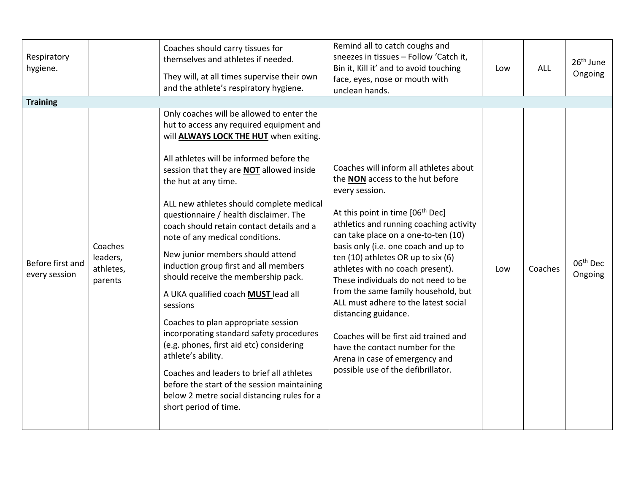| Respiratory<br>hygiene.           |                                             | Coaches should carry tissues for<br>themselves and athletes if needed.<br>They will, at all times supervise their own<br>and the athlete's respiratory hygiene.                                                                                                                                                                                                                                                                                                                                                                                                                                                                                                                                                                                                                                                                                                                                                                     | Remind all to catch coughs and<br>sneezes in tissues - Follow 'Catch it,<br>Bin it, Kill it' and to avoid touching<br>face, eyes, nose or mouth with<br>unclean hands.                                                                                                                                                                                                                                                                                                                                                                                                                                                                             | Low | ALL     | 26 <sup>th</sup> June<br>Ongoing |
|-----------------------------------|---------------------------------------------|-------------------------------------------------------------------------------------------------------------------------------------------------------------------------------------------------------------------------------------------------------------------------------------------------------------------------------------------------------------------------------------------------------------------------------------------------------------------------------------------------------------------------------------------------------------------------------------------------------------------------------------------------------------------------------------------------------------------------------------------------------------------------------------------------------------------------------------------------------------------------------------------------------------------------------------|----------------------------------------------------------------------------------------------------------------------------------------------------------------------------------------------------------------------------------------------------------------------------------------------------------------------------------------------------------------------------------------------------------------------------------------------------------------------------------------------------------------------------------------------------------------------------------------------------------------------------------------------------|-----|---------|----------------------------------|
| <b>Training</b>                   |                                             |                                                                                                                                                                                                                                                                                                                                                                                                                                                                                                                                                                                                                                                                                                                                                                                                                                                                                                                                     |                                                                                                                                                                                                                                                                                                                                                                                                                                                                                                                                                                                                                                                    |     |         |                                  |
| Before first and<br>every session | Coaches<br>leaders,<br>athletes,<br>parents | Only coaches will be allowed to enter the<br>hut to access any required equipment and<br>will ALWAYS LOCK THE HUT when exiting.<br>All athletes will be informed before the<br>session that they are <b>NOT</b> allowed inside<br>the hut at any time.<br>ALL new athletes should complete medical<br>questionnaire / health disclaimer. The<br>coach should retain contact details and a<br>note of any medical conditions.<br>New junior members should attend<br>induction group first and all members<br>should receive the membership pack.<br>A UKA qualified coach <b>MUST</b> lead all<br>sessions<br>Coaches to plan appropriate session<br>incorporating standard safety procedures<br>(e.g. phones, first aid etc) considering<br>athlete's ability.<br>Coaches and leaders to brief all athletes<br>before the start of the session maintaining<br>below 2 metre social distancing rules for a<br>short period of time. | Coaches will inform all athletes about<br>the NON access to the hut before<br>every session.<br>At this point in time [06 <sup>th</sup> Dec]<br>athletics and running coaching activity<br>can take place on a one-to-ten (10)<br>basis only (i.e. one coach and up to<br>ten (10) athletes OR up to six (6)<br>athletes with no coach present).<br>These individuals do not need to be<br>from the same family household, but<br>ALL must adhere to the latest social<br>distancing guidance.<br>Coaches will be first aid trained and<br>have the contact number for the<br>Arena in case of emergency and<br>possible use of the defibrillator. | Low | Coaches | 06 <sup>th</sup> Dec<br>Ongoing  |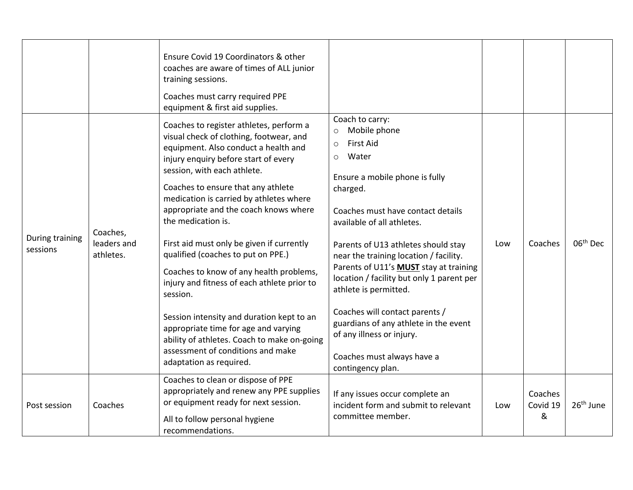|                             |                                      | Ensure Covid 19 Coordinators & other<br>coaches are aware of times of ALL junior<br>training sessions.<br>Coaches must carry required PPE<br>equipment & first aid supplies.                                                                                                                                                                                                                                                                                                                                                                                                                                                                                                                                                                   |                                                                                                                                                                                                                                                                                                                                                                                                                                                                                                                                                                                   |     |                          |                       |
|-----------------------------|--------------------------------------|------------------------------------------------------------------------------------------------------------------------------------------------------------------------------------------------------------------------------------------------------------------------------------------------------------------------------------------------------------------------------------------------------------------------------------------------------------------------------------------------------------------------------------------------------------------------------------------------------------------------------------------------------------------------------------------------------------------------------------------------|-----------------------------------------------------------------------------------------------------------------------------------------------------------------------------------------------------------------------------------------------------------------------------------------------------------------------------------------------------------------------------------------------------------------------------------------------------------------------------------------------------------------------------------------------------------------------------------|-----|--------------------------|-----------------------|
| During training<br>sessions | Coaches,<br>leaders and<br>athletes. | Coaches to register athletes, perform a<br>visual check of clothing, footwear, and<br>equipment. Also conduct a health and<br>injury enquiry before start of every<br>session, with each athlete.<br>Coaches to ensure that any athlete<br>medication is carried by athletes where<br>appropriate and the coach knows where<br>the medication is.<br>First aid must only be given if currently<br>qualified (coaches to put on PPE.)<br>Coaches to know of any health problems,<br>injury and fitness of each athlete prior to<br>session.<br>Session intensity and duration kept to an<br>appropriate time for age and varying<br>ability of athletes. Coach to make on-going<br>assessment of conditions and make<br>adaptation as required. | Coach to carry:<br>Mobile phone<br>$\circ$<br><b>First Aid</b><br>$\circ$<br>Water<br>$\circ$<br>Ensure a mobile phone is fully<br>charged.<br>Coaches must have contact details<br>available of all athletes.<br>Parents of U13 athletes should stay<br>near the training location / facility.<br>Parents of U11's <b>MUST</b> stay at training<br>location / facility but only 1 parent per<br>athlete is permitted.<br>Coaches will contact parents /<br>guardians of any athlete in the event<br>of any illness or injury.<br>Coaches must always have a<br>contingency plan. | Low | Coaches                  | 06 <sup>th</sup> Dec  |
| Post session                | Coaches                              | Coaches to clean or dispose of PPE<br>appropriately and renew any PPE supplies<br>or equipment ready for next session.<br>All to follow personal hygiene<br>recommendations.                                                                                                                                                                                                                                                                                                                                                                                                                                                                                                                                                                   | If any issues occur complete an<br>incident form and submit to relevant<br>committee member.                                                                                                                                                                                                                                                                                                                                                                                                                                                                                      | Low | Coaches<br>Covid 19<br>& | 26 <sup>th</sup> June |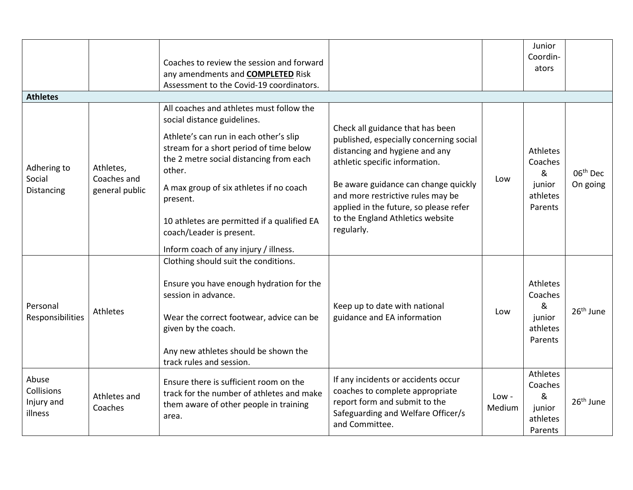|                                              |                                                                                                                                                                                |                                                                                                                                                                                                                                                                                                                                                                      |                                                                                                                                                                       |                               | Junior                                                    |                       |
|----------------------------------------------|--------------------------------------------------------------------------------------------------------------------------------------------------------------------------------|----------------------------------------------------------------------------------------------------------------------------------------------------------------------------------------------------------------------------------------------------------------------------------------------------------------------------------------------------------------------|-----------------------------------------------------------------------------------------------------------------------------------------------------------------------|-------------------------------|-----------------------------------------------------------|-----------------------|
|                                              |                                                                                                                                                                                | Coaches to review the session and forward                                                                                                                                                                                                                                                                                                                            |                                                                                                                                                                       |                               | Coordin-                                                  |                       |
|                                              |                                                                                                                                                                                | any amendments and <b>COMPLETED</b> Risk                                                                                                                                                                                                                                                                                                                             |                                                                                                                                                                       |                               | ators                                                     |                       |
|                                              |                                                                                                                                                                                | Assessment to the Covid-19 coordinators.                                                                                                                                                                                                                                                                                                                             |                                                                                                                                                                       |                               |                                                           |                       |
| <b>Athletes</b>                              |                                                                                                                                                                                |                                                                                                                                                                                                                                                                                                                                                                      |                                                                                                                                                                       |                               |                                                           |                       |
|                                              |                                                                                                                                                                                | All coaches and athletes must follow the<br>social distance guidelines.<br>Check all guidance that has been<br>Athlete's can run in each other's slip<br>published, especially concerning social<br>stream for a short period of time below<br>distancing and hygiene and any<br>the 2 metre social distancing from each<br>athletic specific information.<br>other. |                                                                                                                                                                       |                               |                                                           |                       |
| Adhering to<br>Social<br>Distancing          | Athletes,                                                                                                                                                                      |                                                                                                                                                                                                                                                                                                                                                                      |                                                                                                                                                                       | Athletes<br>Coaches<br>&      | 06 <sup>th</sup> Dec                                      |                       |
|                                              | Coaches and<br>general public                                                                                                                                                  | A max group of six athletes if no coach<br>present.                                                                                                                                                                                                                                                                                                                  | Be aware guidance can change quickly<br>and more restrictive rules may be<br>applied in the future, so please refer<br>to the England Athletics website<br>regularly. | Low                           | junior<br>athletes<br>Parents                             | On going              |
|                                              |                                                                                                                                                                                | 10 athletes are permitted if a qualified EA<br>coach/Leader is present.                                                                                                                                                                                                                                                                                              |                                                                                                                                                                       |                               |                                                           |                       |
|                                              |                                                                                                                                                                                | Inform coach of any injury / illness.                                                                                                                                                                                                                                                                                                                                |                                                                                                                                                                       |                               |                                                           |                       |
|                                              |                                                                                                                                                                                | Clothing should suit the conditions.                                                                                                                                                                                                                                                                                                                                 |                                                                                                                                                                       |                               |                                                           |                       |
| Personal                                     |                                                                                                                                                                                | Ensure you have enough hydration for the<br>session in advance.                                                                                                                                                                                                                                                                                                      | Keep up to date with national                                                                                                                                         |                               | Athletes<br>Coaches<br>&                                  |                       |
| Responsibilities                             | Athletes<br>guidance and EA information<br>Wear the correct footwear, advice can be<br>given by the coach.<br>Any new athletes should be shown the<br>track rules and session. |                                                                                                                                                                                                                                                                                                                                                                      | Low                                                                                                                                                                   | junior<br>athletes<br>Parents | 26 <sup>th</sup> June                                     |                       |
|                                              |                                                                                                                                                                                |                                                                                                                                                                                                                                                                                                                                                                      |                                                                                                                                                                       |                               |                                                           |                       |
| Abuse<br>Collisions<br>Injury and<br>illness | Athletes and<br>Coaches                                                                                                                                                        | Ensure there is sufficient room on the<br>track for the number of athletes and make<br>them aware of other people in training<br>area.                                                                                                                                                                                                                               | If any incidents or accidents occur<br>coaches to complete appropriate<br>report form and submit to the<br>Safeguarding and Welfare Officer/s<br>and Committee.       | $Low -$<br>Medium             | Athletes<br>Coaches<br>&<br>junior<br>athletes<br>Parents | 26 <sup>th</sup> June |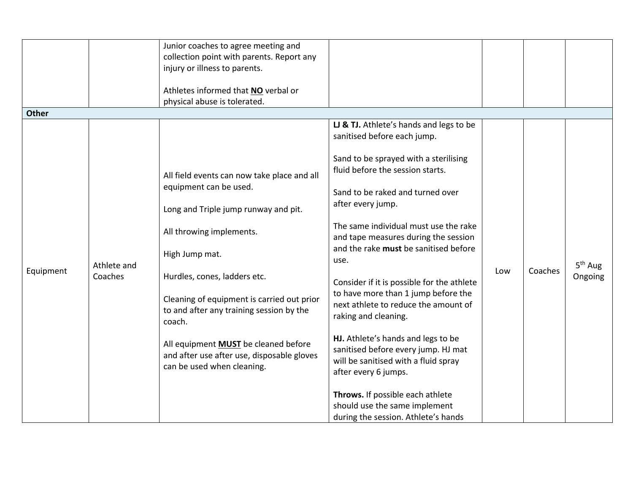|              |                        | Junior coaches to agree meeting and<br>collection point with parents. Report any<br>injury or illness to parents.<br>Athletes informed that NO verbal or<br>physical abuse is tolerated.                                                                                                                                                                                                                                   |                                                                                                                                                                                                                                                                                                                                                                                                                                                                                                                                                                                                                                                                                                                                                              |     |         |                      |
|--------------|------------------------|----------------------------------------------------------------------------------------------------------------------------------------------------------------------------------------------------------------------------------------------------------------------------------------------------------------------------------------------------------------------------------------------------------------------------|--------------------------------------------------------------------------------------------------------------------------------------------------------------------------------------------------------------------------------------------------------------------------------------------------------------------------------------------------------------------------------------------------------------------------------------------------------------------------------------------------------------------------------------------------------------------------------------------------------------------------------------------------------------------------------------------------------------------------------------------------------------|-----|---------|----------------------|
| <b>Other</b> |                        |                                                                                                                                                                                                                                                                                                                                                                                                                            |                                                                                                                                                                                                                                                                                                                                                                                                                                                                                                                                                                                                                                                                                                                                                              |     |         |                      |
| Equipment    | Athlete and<br>Coaches | All field events can now take place and all<br>equipment can be used.<br>Long and Triple jump runway and pit.<br>All throwing implements.<br>High Jump mat.<br>Hurdles, cones, ladders etc.<br>Cleaning of equipment is carried out prior<br>to and after any training session by the<br>coach.<br>All equipment <b>MUST</b> be cleaned before<br>and after use after use, disposable gloves<br>can be used when cleaning. | LJ & TJ. Athlete's hands and legs to be<br>sanitised before each jump.<br>Sand to be sprayed with a sterilising<br>fluid before the session starts.<br>Sand to be raked and turned over<br>after every jump.<br>The same individual must use the rake<br>and tape measures during the session<br>and the rake must be sanitised before<br>use.<br>Consider if it is possible for the athlete<br>to have more than 1 jump before the<br>next athlete to reduce the amount of<br>raking and cleaning.<br>HJ. Athlete's hands and legs to be<br>sanitised before every jump. HJ mat<br>will be sanitised with a fluid spray<br>after every 6 jumps.<br>Throws. If possible each athlete<br>should use the same implement<br>during the session. Athlete's hands | Low | Coaches | $5th$ Aug<br>Ongoing |